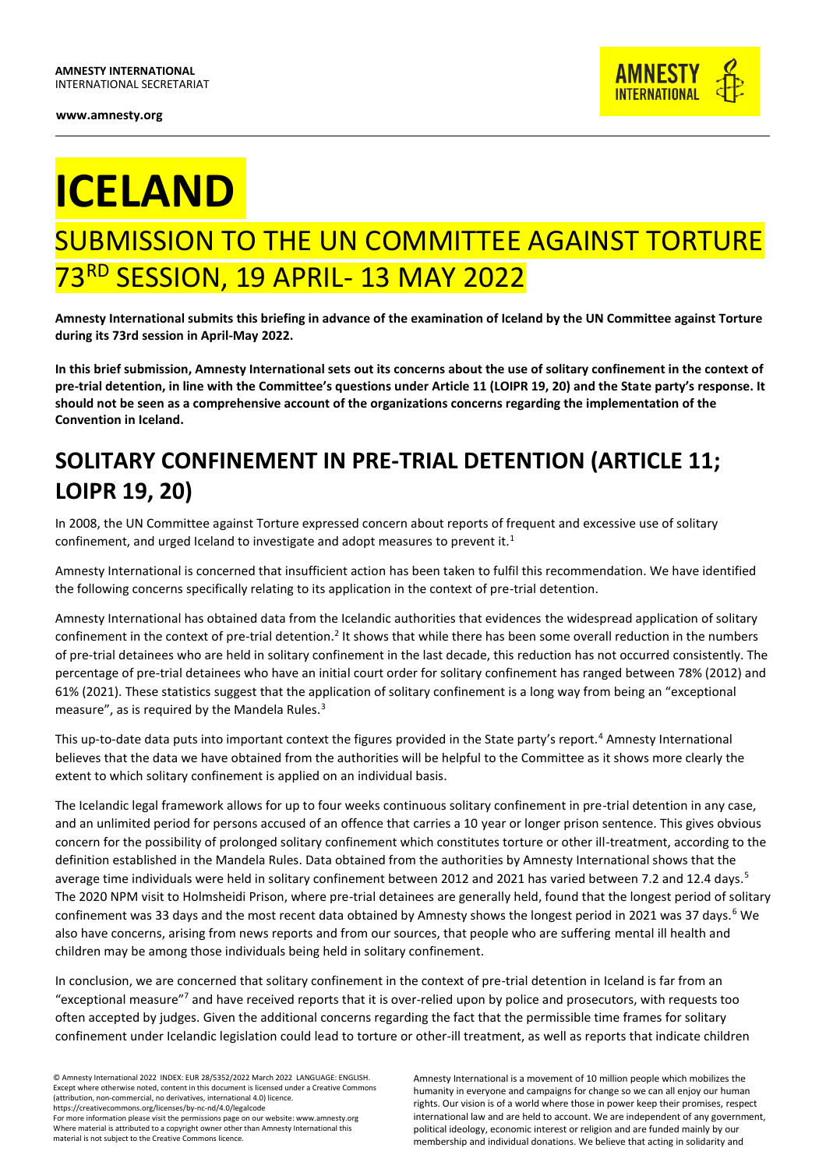

## **ICELAND**

## SUBMISSION TO THE UN COMMITTEE AGAINST TORTURE 73RD SESSION, 19 APRIL- 13 MAY 2022

**Amnesty International submits this briefing in advance of the examination of Iceland by the UN Committee against Torture during its 73rd session in April-May 2022.**

**In this brief submission, Amnesty International sets out its concerns about the use of solitary confinement in the context of pre-trial detention, in line with the Committee's questions under Article 11 (LOIPR 19, 20) and the State party's response. It should not be seen as a comprehensive account of the organizations concerns regarding the implementation of the Convention in Iceland.**

## **SOLITARY CONFINEMENT IN PRE-TRIAL DETENTION (ARTICLE 11; LOIPR 19, 20)**

In 2008, the UN Committee against Torture expressed concern about reports of frequent and excessive use of solitary confinement, and urged Iceland to investigate and adopt measures to prevent it.<sup>1</sup>

Amnesty International is concerned that insufficient action has been taken to fulfil this recommendation. We have identified the following concerns specifically relating to its application in the context of pre-trial detention.

Amnesty International has obtained data from the Icelandic authorities that evidences the widespread application of solitary confinement in the context of pre-trial detention.<sup>2</sup> It shows that while there has been some overall reduction in the numbers of pre-trial detainees who are held in solitary confinement in the last decade, this reduction has not occurred consistently. The percentage of pre-trial detainees who have an initial court order for solitary confinement has ranged between 78% (2012) and 61% (2021). These statistics suggest that the application of solitary confinement is a long way from being an "exceptional measure", as is required by the Mandela Rules. $3$ 

This up-to-date data puts into important context the figures provided in the State party's report.<sup>4</sup> Amnesty International believes that the data we have obtained from the authorities will be helpful to the Committee as it shows more clearly the extent to which solitary confinement is applied on an individual basis.

The Icelandic legal framework allows for up to four weeks continuous solitary confinement in pre-trial detention in any case, and an unlimited period for persons accused of an offence that carries a 10 year or longer prison sentence. This gives obvious concern for the possibility of prolonged solitary confinement which constitutes torture or other ill-treatment, according to the definition established in the Mandela Rules. Data obtained from the authorities by Amnesty International shows that the average time individuals were held in solitary confinement between 2012 and 2021 has varied between 7.2 and 12.4 days.<sup>5</sup> The 2020 NPM visit to Holmsheidi Prison, where pre-trial detainees are generally held, found that the longest period of solitary confinement was 33 days and the most recent data obtained by Amnesty shows the longest period in 2021 was 37 days.<sup>6</sup> We also have concerns, arising from news reports and from our sources, that people who are suffering mental ill health and children may be among those individuals being held in solitary confinement.

In conclusion, we are concerned that solitary confinement in the context of pre-trial detention in Iceland is far from an "exceptional measure"<sup>7</sup> and have received reports that it is over-relied upon by police and prosecutors, with requests too often accepted by judges. Given the additional concerns regarding the fact that the permissible time frames for solitary confinement under Icelandic legislation could lead to torture or other-ill treatment, as well as reports that indicate children

© Amnesty International 2022 INDEX: EUR 28/5352/2022 March 2022 LANGUAGE: ENGLISH. Except where otherwise noted, content in this document is licensed under a Creative Commons (attribution, non-commercial, no derivatives, international 4.0) licence. https://creativecommons.org/licenses/by-nc-nd/4.0/legalcode

For more information please visit the permissions page on our website: www.amnesty.org Where material is attributed to a copyright owner other than Amnesty International this material is not subject to the Creative Commons licence.

Amnesty International is a movement of 10 million people which mobilizes the humanity in everyone and campaigns for change so we can all enjoy our human rights. Our vision is of a world where those in power keep their promises, respect international law and are held to account. We are independent of any government, political ideology, economic interest or religion and are funded mainly by our membership and individual donations. We believe that acting in solidarity and